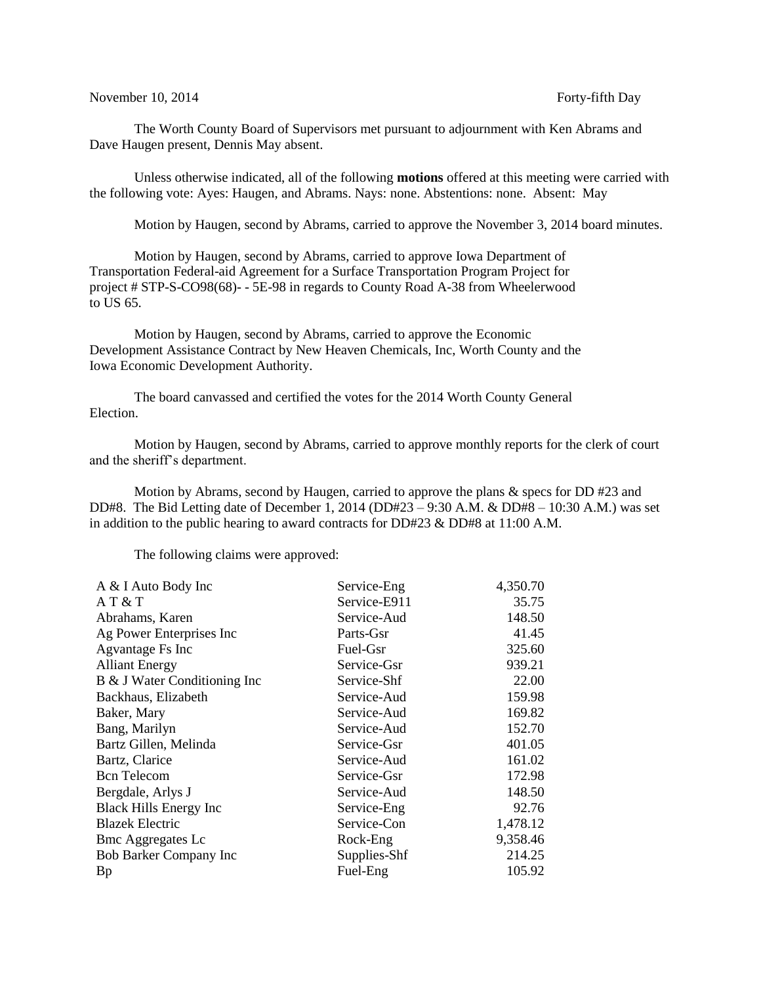## November 10, 2014 Forty-fifth Day

The Worth County Board of Supervisors met pursuant to adjournment with Ken Abrams and Dave Haugen present, Dennis May absent.

Unless otherwise indicated, all of the following **motions** offered at this meeting were carried with the following vote: Ayes: Haugen, and Abrams. Nays: none. Abstentions: none. Absent: May

Motion by Haugen, second by Abrams, carried to approve the November 3, 2014 board minutes.

Motion by Haugen, second by Abrams, carried to approve Iowa Department of Transportation Federal-aid Agreement for a Surface Transportation Program Project for project # STP-S-CO98(68)- - 5E-98 in regards to County Road A-38 from Wheelerwood to US 65.

Motion by Haugen, second by Abrams, carried to approve the Economic Development Assistance Contract by New Heaven Chemicals, Inc, Worth County and the Iowa Economic Development Authority.

The board canvassed and certified the votes for the 2014 Worth County General Election.

Motion by Haugen, second by Abrams, carried to approve monthly reports for the clerk of court and the sheriff's department.

Motion by Abrams, second by Haugen, carried to approve the plans & specs for DD #23 and DD#8. The Bid Letting date of December 1, 2014 (DD#23 – 9:30 A.M. & DD#8 – 10:30 A.M.) was set in addition to the public hearing to award contracts for DD#23 & DD#8 at 11:00 A.M.

The following claims were approved:

| A & I Auto Body Inc           | Service-Eng  | 4,350.70 |
|-------------------------------|--------------|----------|
| AT & T                        | Service-E911 | 35.75    |
| Abrahams, Karen               | Service-Aud  | 148.50   |
| Ag Power Enterprises Inc      | Parts-Gsr    | 41.45    |
| Agvantage Fs Inc              | Fuel-Gsr     | 325.60   |
| <b>Alliant Energy</b>         | Service-Gsr  | 939.21   |
| B & J Water Conditioning Inc  | Service-Shf  | 22.00    |
| Backhaus, Elizabeth           | Service-Aud  | 159.98   |
| Baker, Mary                   | Service-Aud  | 169.82   |
| Bang, Marilyn                 | Service-Aud  | 152.70   |
| Bartz Gillen, Melinda         | Service-Gsr  | 401.05   |
| Bartz, Clarice                | Service-Aud  | 161.02   |
| <b>Bcn</b> Telecom            | Service-Gsr  | 172.98   |
| Bergdale, Arlys J             | Service-Aud  | 148.50   |
| <b>Black Hills Energy Inc</b> | Service-Eng  | 92.76    |
| <b>Blazek Electric</b>        | Service-Con  | 1,478.12 |
| <b>Bmc Aggregates Lc</b>      | Rock-Eng     | 9,358.46 |
| Bob Barker Company Inc        | Supplies-Shf | 214.25   |
| <b>Bp</b>                     | Fuel-Eng     | 105.92   |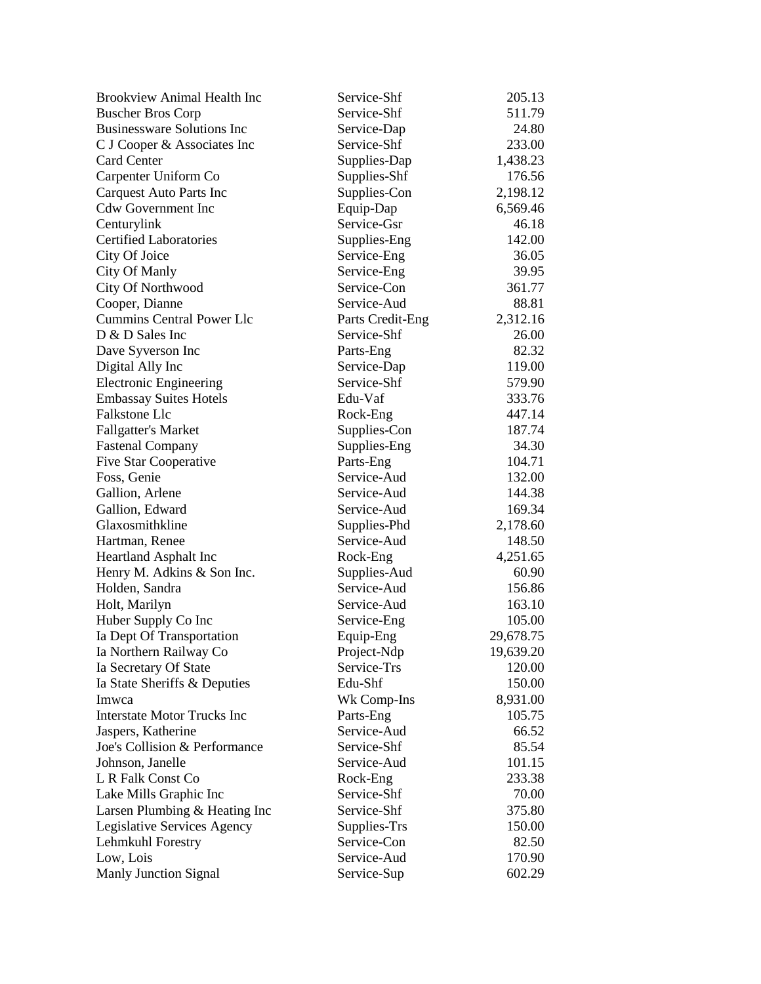| <b>Brookview Animal Health Inc</b> | Service-Shf      | 205.13    |
|------------------------------------|------------------|-----------|
| <b>Buscher Bros Corp</b>           | Service-Shf      | 511.79    |
| <b>Businessware Solutions Inc</b>  | Service-Dap      | 24.80     |
| C J Cooper & Associates Inc        | Service-Shf      | 233.00    |
| <b>Card Center</b>                 | Supplies-Dap     | 1,438.23  |
| Carpenter Uniform Co               | Supplies-Shf     | 176.56    |
| <b>Carquest Auto Parts Inc</b>     | Supplies-Con     | 2,198.12  |
| <b>Cdw Government Inc</b>          | Equip-Dap        | 6,569.46  |
| Centurylink                        | Service-Gsr      | 46.18     |
| <b>Certified Laboratories</b>      | Supplies-Eng     | 142.00    |
| City Of Joice                      | Service-Eng      | 36.05     |
| City Of Manly                      | Service-Eng      | 39.95     |
| City Of Northwood                  | Service-Con      | 361.77    |
| Cooper, Dianne                     | Service-Aud      | 88.81     |
| <b>Cummins Central Power Llc</b>   | Parts Credit-Eng | 2,312.16  |
| D & D Sales Inc                    | Service-Shf      | 26.00     |
| Dave Syverson Inc                  | Parts-Eng        | 82.32     |
| Digital Ally Inc                   | Service-Dap      | 119.00    |
| <b>Electronic Engineering</b>      | Service-Shf      | 579.90    |
| <b>Embassay Suites Hotels</b>      | Edu-Vaf          | 333.76    |
| Falkstone Llc                      | Rock-Eng         | 447.14    |
| <b>Fallgatter's Market</b>         | Supplies-Con     | 187.74    |
| <b>Fastenal Company</b>            | Supplies-Eng     | 34.30     |
| Five Star Cooperative              | Parts-Eng        | 104.71    |
| Foss, Genie                        | Service-Aud      | 132.00    |
| Gallion, Arlene                    | Service-Aud      | 144.38    |
| Gallion, Edward                    | Service-Aud      | 169.34    |
| Glaxosmithkline                    | Supplies-Phd     | 2,178.60  |
| Hartman, Renee                     | Service-Aud      | 148.50    |
| <b>Heartland Asphalt Inc</b>       | Rock-Eng         | 4,251.65  |
| Henry M. Adkins & Son Inc.         | Supplies-Aud     | 60.90     |
| Holden, Sandra                     | Service-Aud      | 156.86    |
| Holt, Marilyn                      | Service-Aud      | 163.10    |
| Huber Supply Co Inc                | Service-Eng      | 105.00    |
| Ia Dept Of Transportation          | Equip-Eng        | 29,678.75 |
| Ia Northern Railway Co             | Project-Ndp      | 19,639.20 |
| Ia Secretary Of State              | Service-Trs      | 120.00    |
| Ia State Sheriffs & Deputies       | Edu-Shf          | 150.00    |
| Imwca                              | Wk Comp-Ins      | 8,931.00  |
| <b>Interstate Motor Trucks Inc</b> | Parts-Eng        | 105.75    |
| Jaspers, Katherine                 | Service-Aud      | 66.52     |
| Joe's Collision & Performance      | Service-Shf      | 85.54     |
| Johnson, Janelle                   | Service-Aud      | 101.15    |
| L R Falk Const Co                  | Rock-Eng         | 233.38    |
| Lake Mills Graphic Inc             | Service-Shf      | 70.00     |
| Larsen Plumbing & Heating Inc      | Service-Shf      | 375.80    |
| Legislative Services Agency        | Supplies-Trs     | 150.00    |
| Lehmkuhl Forestry                  | Service-Con      | 82.50     |
| Low, Lois                          | Service-Aud      | 170.90    |
| Manly Junction Signal              | Service-Sup      | 602.29    |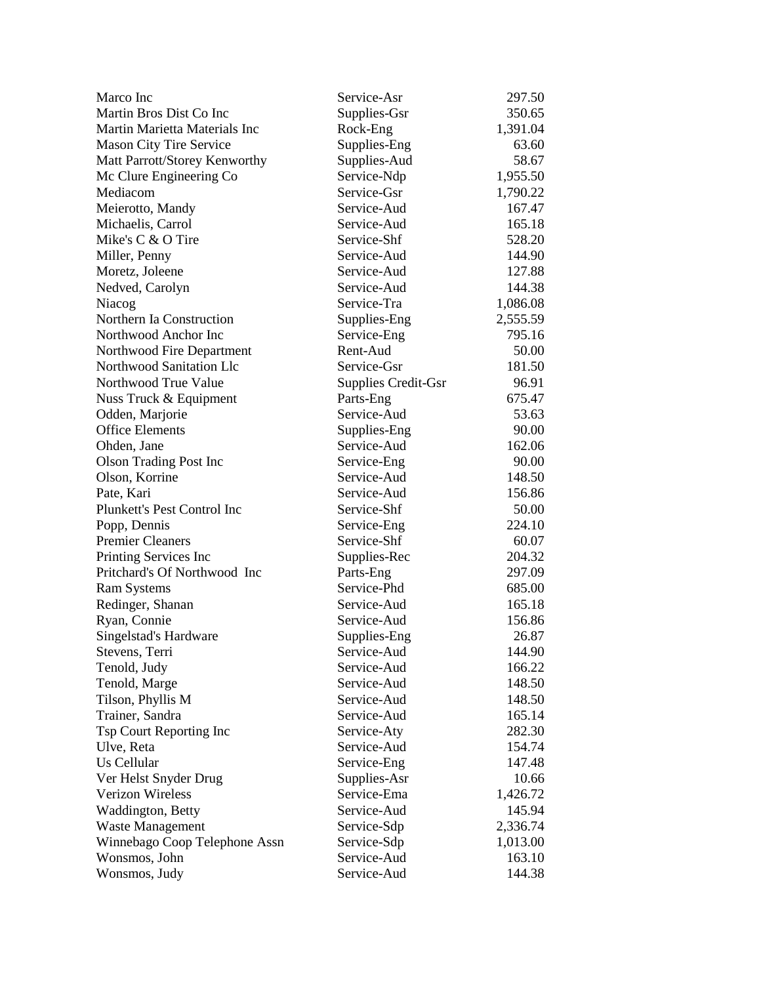| Marco Inc                      | Service-Asr         | 297.50   |
|--------------------------------|---------------------|----------|
| Martin Bros Dist Co Inc        | Supplies-Gsr        | 350.65   |
| Martin Marietta Materials Inc  | Rock-Eng            | 1,391.04 |
| <b>Mason City Tire Service</b> | Supplies-Eng        | 63.60    |
| Matt Parrott/Storey Kenworthy  | Supplies-Aud        | 58.67    |
| Mc Clure Engineering Co        | Service-Ndp         | 1,955.50 |
| Mediacom                       | Service-Gsr         | 1,790.22 |
| Meierotto, Mandy               | Service-Aud         | 167.47   |
| Michaelis, Carrol              | Service-Aud         | 165.18   |
| Mike's C & O Tire              | Service-Shf         | 528.20   |
| Miller, Penny                  | Service-Aud         | 144.90   |
| Moretz, Joleene                | Service-Aud         | 127.88   |
| Nedved, Carolyn                | Service-Aud         | 144.38   |
| Niacog                         | Service-Tra         | 1,086.08 |
| Northern Ia Construction       | Supplies-Eng        | 2,555.59 |
| Northwood Anchor Inc           | Service-Eng         | 795.16   |
| Northwood Fire Department      | Rent-Aud            | 50.00    |
| Northwood Sanitation Llc       | Service-Gsr         | 181.50   |
| Northwood True Value           | Supplies Credit-Gsr | 96.91    |
| Nuss Truck & Equipment         | Parts-Eng           | 675.47   |
| Odden, Marjorie                | Service-Aud         | 53.63    |
| <b>Office Elements</b>         | Supplies-Eng        | 90.00    |
| Ohden, Jane                    | Service-Aud         | 162.06   |
| <b>Olson Trading Post Inc</b>  | Service-Eng         | 90.00    |
| Olson, Korrine                 | Service-Aud         | 148.50   |
| Pate, Kari                     | Service-Aud         | 156.86   |
| Plunkett's Pest Control Inc    | Service-Shf         | 50.00    |
| Popp, Dennis                   | Service-Eng         | 224.10   |
| <b>Premier Cleaners</b>        | Service-Shf         | 60.07    |
| Printing Services Inc          | Supplies-Rec        | 204.32   |
| Pritchard's Of Northwood Inc   | Parts-Eng           | 297.09   |
| <b>Ram Systems</b>             | Service-Phd         | 685.00   |
| Redinger, Shanan               | Service-Aud         | 165.18   |
| Ryan, Connie                   | Service-Aud         | 156.86   |
| Singelstad's Hardware          | Supplies-Eng        | 26.87    |
| Stevens, Terri                 | Service-Aud         | 144.90   |
| Tenold, Judy                   | Service-Aud         | 166.22   |
| Tenold, Marge                  | Service-Aud         | 148.50   |
| Tilson, Phyllis M              | Service-Aud         | 148.50   |
| Trainer, Sandra                | Service-Aud         | 165.14   |
| Tsp Court Reporting Inc        | Service-Aty         | 282.30   |
| Ulve, Reta                     | Service-Aud         | 154.74   |
| Us Cellular                    | Service-Eng         | 147.48   |
| Ver Helst Snyder Drug          | Supplies-Asr        | 10.66    |
| <b>Verizon Wireless</b>        | Service-Ema         | 1,426.72 |
| Waddington, Betty              | Service-Aud         | 145.94   |
| Waste Management               | Service-Sdp         | 2,336.74 |
| Winnebago Coop Telephone Assn  | Service-Sdp         | 1,013.00 |
| Wonsmos, John                  | Service-Aud         | 163.10   |
| Wonsmos, Judy                  | Service-Aud         | 144.38   |
|                                |                     |          |